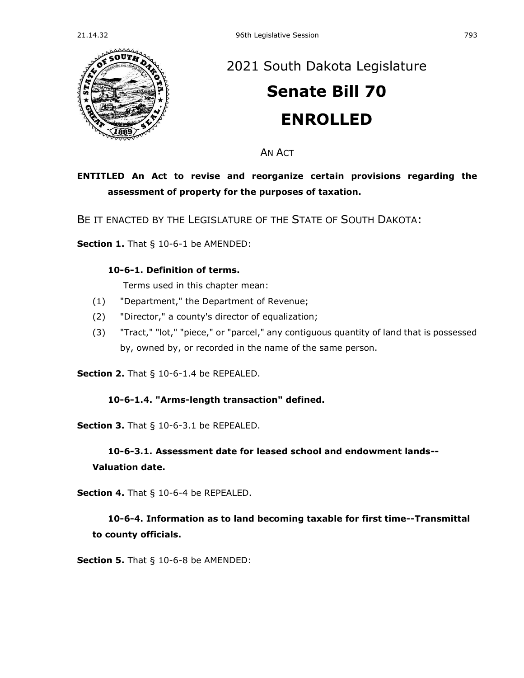

## [2021 South Dakota Legislature](https://sdlegislature.gov/Session/Bills/44)

# **[Senate Bill 70](https://sdlegislature.gov/Session/Bill/12272) ENROLLED**

AN ACT

## **ENTITLED An Act to revise and reorganize certain provisions regarding the assessment of property for the purposes of taxation.**

BE IT ENACTED BY THE LEGISLATURE OF THE STATE OF SOUTH DAKOTA:

**Section 1.** [That § 10-6-1 be AMENDED:](https://sdlegislature.gov/Statutes/Codified_Laws/DisplayStatute.aspx?Type=Statute&Statute=10-6-1)

#### **[10-6-1. D](https://sdlegislature.gov/Statutes/Codified_Laws/DisplayStatute.aspx?Type=Statute&Statute=10-6-1)efinition of terms.**

Terms used in this chapter mean:

- (1) "Department," the Department of Revenue;
- (2) "Director," a county's director of equalization;
- (3) "Tract," "lot," "piece," or "parcel," any contiguous quantity of land that is possessed by, owned by, or recorded in the name of the same person.

**Section 2.** [That § 10-6-1.4 be REPEALED.](https://sdlegislature.gov/Statutes/Codified_Laws/DisplayStatute.aspx?Type=Statute&Statute=10-6-1.4)

#### **[10-6-1.4. "](https://sdlegislature.gov/Statutes/Codified_Laws/DisplayStatute.aspx?Type=Statute&Statute=10-6-1.4)Arms-length transaction" defined.**

**Section 3.** [That § 10-6-3.1 be REPEALED.](https://sdlegislature.gov/Statutes/Codified_Laws/DisplayStatute.aspx?Type=Statute&Statute=10-6-3.1)

#### **[10-6-3.1. A](https://sdlegislature.gov/Statutes/Codified_Laws/DisplayStatute.aspx?Type=Statute&Statute=10-6-3.1)ssessment date for leased school and endowment lands--**

#### **Valuation date.**

**Section 4.** [That § 10-6-4 be REPEALED.](https://sdlegislature.gov/Statutes/Codified_Laws/DisplayStatute.aspx?Type=Statute&Statute=10-6-4)

## **[10-6-4. I](https://sdlegislature.gov/Statutes/Codified_Laws/DisplayStatute.aspx?Type=Statute&Statute=10-6-4)nformation as to land becoming taxable for first time--Transmittal to county officials.**

**Section 5.** [That § 10-6-8 be AMENDED:](https://sdlegislature.gov/Statutes/Codified_Laws/DisplayStatute.aspx?Type=Statute&Statute=10-6-8)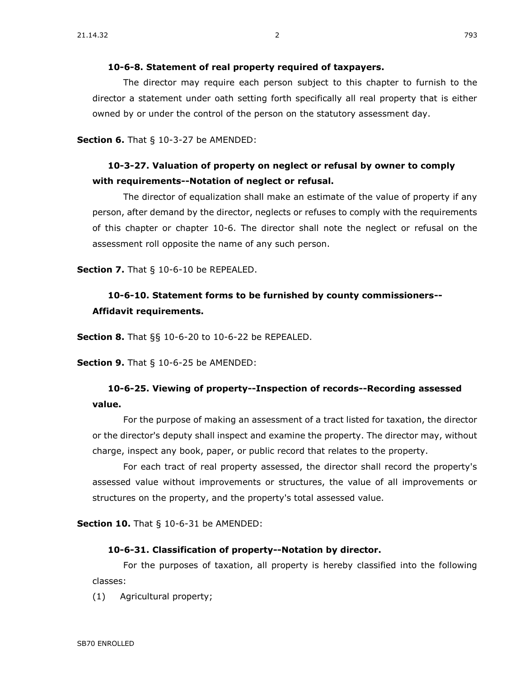The director may require each person subject to this chapter to furnish to the director a statement under oath setting forth specifically all real property that is either owned by or under the control of the person on the statutory assessment day.

**Section 6.** [That § 10-3-27 be AMENDED:](https://sdlegislature.gov/Statutes/Codified_Laws/DisplayStatute.aspx?Type=Statute&Statute=10-3-27)

### **[10-3-27. V](https://sdlegislature.gov/Statutes/Codified_Laws/DisplayStatute.aspx?Type=Statute&Statute=10-3-27)aluation of property on neglect or refusal by owner to comply with requirements--Notation of neglect or refusal.**

The director of equalization shall make an estimate of the value of property if any person, after demand by the director, neglects or refuses to comply with the requirements of this chapter or chapter [10-6.](https://sdlegislature.gov/Statutes/Codified_Laws/DisplayStatute.aspx?Type=Statute&Statute=10-6) The director shall note the neglect or refusal on the assessment roll opposite the name of any such person.

**Section 7.** [That § 10-6-10 be REPEALED.](https://sdlegislature.gov/Statutes/Codified_Laws/DisplayStatute.aspx?Type=Statute&Statute=10-6-10)

## **[10-6-10. S](https://sdlegislature.gov/Statutes/Codified_Laws/DisplayStatute.aspx?Type=Statute&Statute=10-6-10)tatement forms to be furnished by county commissioners-- Affidavit requirements.**

**Section 8.** [That §§ 10-6-20 to 10-6-22 be REPEALED.](https://sdlegislature.gov/Statutes/Codified_Laws/DisplayStatute.aspx?Type=Multi&Statute=10-6-20&Statute=10-6-22)

**Section 9.** [That § 10-6-25 be AMENDED:](https://sdlegislature.gov/Statutes/Codified_Laws/DisplayStatute.aspx?Type=Statute&Statute=10-6-25)

### **[10-6-25. V](https://sdlegislature.gov/Statutes/Codified_Laws/DisplayStatute.aspx?Type=Statute&Statute=10-6-25)iewing of property--Inspection of records--Recording assessed value.**

For the purpose of making an assessment of a tract listed for taxation, the director or the director's deputy shall inspect and examine the property. The director may, without charge, inspect any book, paper, or public record that relates to the property.

For each tract of real property assessed, the director shall record the property's assessed value without improvements or structures, the value of all improvements or structures on the property, and the property's total assessed value.

**Section 10.** [That § 10-6-31 be AMENDED:](https://sdlegislature.gov/Statutes/Codified_Laws/DisplayStatute.aspx?Type=Statute&Statute=10-6-31)

#### **[10-6-31. C](https://sdlegislature.gov/Statutes/Codified_Laws/DisplayStatute.aspx?Type=Statute&Statute=10-6-31)lassification of property--Notation by director.**

For the purposes of taxation, all property is hereby classified into the following classes:

(1) Agricultural property;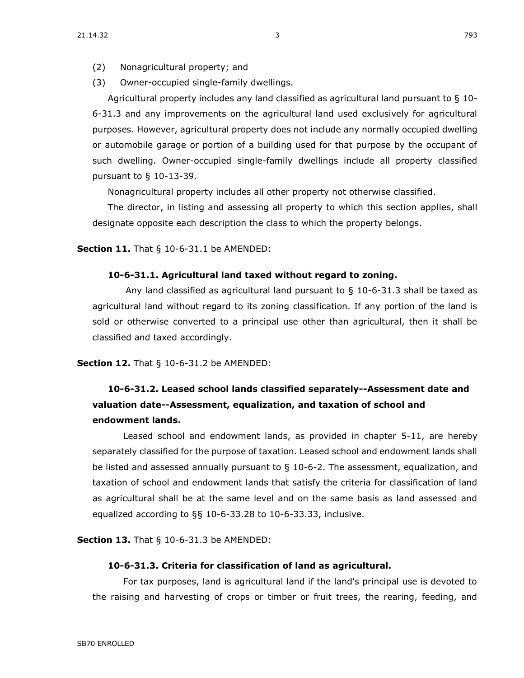- (2) Nonagricultural property; and
- (3) Owner-occupied single-family dwellings.

Agricultural property includes any land classified as agricultural land pursuant to § [10-](https://sdlegislature.gov/Statutes/Codified_Laws/DisplayStatute.aspx?Type=Statute&Statute=10-6-31.3) [6-31.3](https://sdlegislature.gov/Statutes/Codified_Laws/DisplayStatute.aspx?Type=Statute&Statute=10-6-31.3) and any improvements on the agricultural land used exclusively for agricultural purposes. However, agricultural property does not include any normally occupied dwelling or automobile garage or portion of a building used for that purpose by the occupant of such dwelling. Owner-occupied single-family dwellings include all property classified pursuant to § [10-13-39.](https://sdlegislature.gov/Statutes/Codified_Laws/DisplayStatute.aspx?Type=Statute&Statute=10-13-39)

Nonagricultural property includes all other property not otherwise classified.

The director, in listing and assessing all property to which this section applies, shall designate opposite each description the class to which the property belongs.

**Section 11.** [That § 10-6-31.1 be AMENDED:](https://sdlegislature.gov/Statutes/Codified_Laws/DisplayStatute.aspx?Type=Statute&Statute=10-6-31.1)

#### **[10-6-31.1. A](https://sdlegislature.gov/Statutes/Codified_Laws/DisplayStatute.aspx?Type=Statute&Statute=10-6-31.1)gricultural land taxed without regard to zoning.**

Any land classified as agricultural land pursuant to  $\S$  [10-6-31.3](https://sdlegislature.gov/Statutes/Codified_Laws/DisplayStatute.aspx?Type=Statute&Statute=10-6-31.3) shall be taxed as agricultural land without regard to its zoning classification. If any portion of the land is sold or otherwise converted to a principal use other than agricultural, then it shall be classified and taxed accordingly.

#### **Section 12.** [That § 10-6-31.2 be AMENDED:](https://sdlegislature.gov/Statutes/Codified_Laws/DisplayStatute.aspx?Type=Statute&Statute=10-6-31.2)

## **[10-6-31.2. L](https://sdlegislature.gov/Statutes/Codified_Laws/DisplayStatute.aspx?Type=Statute&Statute=10-6-31.2)eased school lands classified separately--Assessment date and valuation date--Assessment, equalization, and taxation of school and endowment lands.**

Leased school and endowment lands, as provided in chapter [5-11,](https://sdlegislature.gov/Statutes/Codified_Laws/DisplayStatute.aspx?Type=Statute&Statute=5-11) are hereby separately classified for the purpose of taxation. Leased school and endowment lands shall be listed and assessed annually pursuant to § [10-6-2.](https://sdlegislature.gov/Statutes/Codified_Laws/DisplayStatute.aspx?Type=Statute&Statute=10-6-2) The assessment, equalization, and taxation of school and endowment lands that satisfy the criteria for classification of land as agricultural shall be at the same level and on the same basis as land assessed and equalized according to §§ [10-6-33.28](https://sdlegislature.gov/Statutes/Codified_Laws/DisplayStatute.aspx?Type=Statute&Statute=10-6-33.28) to [10-6-33.33,](https://sdlegislature.gov/Statutes/Codified_Laws/DisplayStatute.aspx?Type=Statute&Statute=10-6-33.33) inclusive.

**Section 13.** [That § 10-6-31.3 be AMENDED:](https://sdlegislature.gov/Statutes/Codified_Laws/DisplayStatute.aspx?Type=Statute&Statute=10-6-31.3)

#### **[10-6-31.3. C](https://sdlegislature.gov/Statutes/Codified_Laws/DisplayStatute.aspx?Type=Statute&Statute=10-6-31.3)riteria for classification of land as agricultural.**

For tax purposes, land is agricultural land if the land's principal use is devoted to the raising and harvesting of crops or timber or fruit trees, the rearing, feeding, and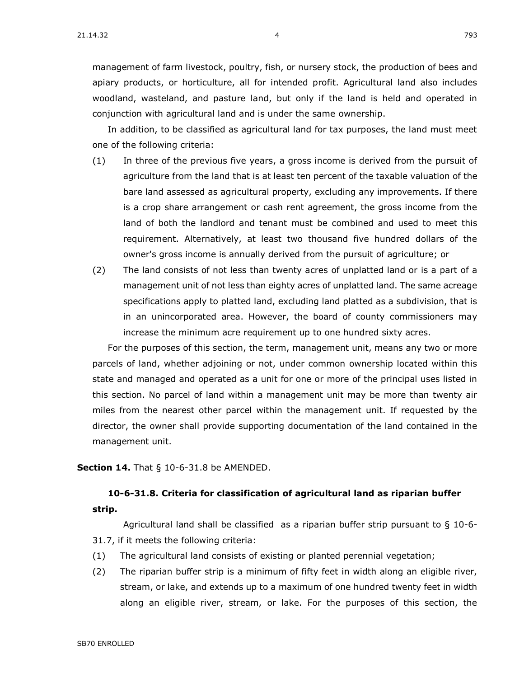management of farm livestock, poultry, fish, or nursery stock, the production of bees and apiary products, or horticulture, all for intended profit. Agricultural land also includes woodland, wasteland, and pasture land, but only if the land is held and operated in conjunction with agricultural land and is under the same ownership.

In addition, to be classified as agricultural land for tax purposes, the land must meet one of the following criteria:

- (1) In three of the previous five years, a gross income is derived from the pursuit of agriculture from the land that is at least ten percent of the taxable valuation of the bare land assessed as agricultural property, excluding any improvements. If there is a crop share arrangement or cash rent agreement, the gross income from the land of both the landlord and tenant must be combined and used to meet this requirement. Alternatively, at least two thousand five hundred dollars of the owner's gross income is annually derived from the pursuit of agriculture; or
- (2) The land consists of not less than twenty acres of unplatted land or is a part of a management unit of not less than eighty acres of unplatted land. The same acreage specifications apply to platted land, excluding land platted as a subdivision, that is in an unincorporated area. However, the board of county commissioners may increase the minimum acre requirement up to one hundred sixty acres.

For the purposes of this section, the term, management unit, means any two or more parcels of land, whether adjoining or not, under common ownership located within this state and managed and operated as a unit for one or more of the principal uses listed in this section. No parcel of land within a management unit may be more than twenty air miles from the nearest other parcel within the management unit. If requested by the director, the owner shall provide supporting documentation of the land contained in the management unit.

**Section 14.** [That § 10-6-31.8 be AMENDED.](https://sdlegislature.gov/Statutes/Codified_Laws/DisplayStatute.aspx?Type=Statute&Statute=10-6-31.8)

## **[10-6-31.8. C](https://sdlegislature.gov/Statutes/Codified_Laws/DisplayStatute.aspx?Type=Statute&Statute=10-6-31.8)riteria for classification of agricultural land as riparian buffer**

**strip.**

Agricultural land shall be classified as a riparian buffer strip pursuant to  $\S$  [10-6-](https://sdlegislature.gov/Statutes/Codified_Laws/DisplayStatute.aspx?Type=Statute&Statute=10-6-31.7) [31.7,](https://sdlegislature.gov/Statutes/Codified_Laws/DisplayStatute.aspx?Type=Statute&Statute=10-6-31.7) if it meets the following criteria:

- (1) The agricultural land consists of existing or planted perennial vegetation;
- (2) The riparian buffer strip is a minimum of fifty feet in width along an eligible river, stream, or lake, and extends up to a maximum of one hundred twenty feet in width along an eligible river, stream, or lake. For the purposes of this section, the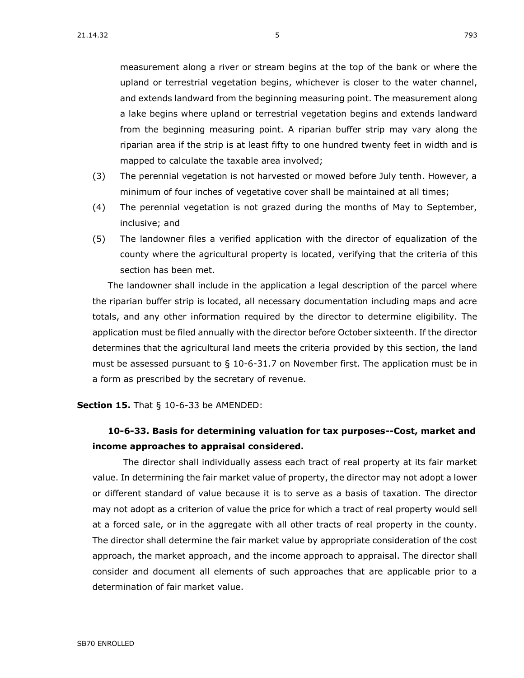measurement along a river or stream begins at the top of the bank or where the upland or terrestrial vegetation begins, whichever is closer to the water channel, and extends landward from the beginning measuring point. The measurement along a lake begins where upland or terrestrial vegetation begins and extends landward from the beginning measuring point. A riparian buffer strip may vary along the riparian area if the strip is at least fifty to one hundred twenty feet in width and is mapped to calculate the taxable area involved;

- (3) The perennial vegetation is not harvested or mowed before July tenth. However, a minimum of four inches of vegetative cover shall be maintained at all times;
- (4) The perennial vegetation is not grazed during the months of May to September, inclusive; and
- (5) The landowner files a verified application with the director of equalization of the county where the agricultural property is located, verifying that the criteria of this section has been met.

The landowner shall include in the application a legal description of the parcel where the riparian buffer strip is located, all necessary documentation including maps and acre totals, and any other information required by the director to determine eligibility. The application must be filed annually with the director before October sixteenth. If the director determines that the agricultural land meets the criteria provided by this section, the land must be assessed pursuant to  $\S$  [10-6-31.7](https://sdlegislature.gov/Statutes/Codified_Laws/DisplayStatute.aspx?Type=Statute&Statute=10-6-31.7) on November first. The application must be in a form as prescribed by the secretary of revenue.

#### **Section 15.** [That § 10-6-33 be AMENDED:](https://sdlegislature.gov/Statutes/Codified_Laws/DisplayStatute.aspx?Type=Statute&Statute=10-6-33)

### **[10-6-33. B](https://sdlegislature.gov/Statutes/Codified_Laws/DisplayStatute.aspx?Type=Statute&Statute=10-6-33)asis for determining valuation for tax purposes--Cost, market and income approaches to appraisal considered.**

The director shall individually assess each tract of real property at its fair market value. In determining the fair market value of property, the director may not adopt a lower or different standard of value because it is to serve as a basis of taxation. The director may not adopt as a criterion of value the price for which a tract of real property would sell at a forced sale, or in the aggregate with all other tracts of real property in the county. The director shall determine the fair market value by appropriate consideration of the cost approach, the market approach, and the income approach to appraisal. The director shall consider and document all elements of such approaches that are applicable prior to a determination of fair market value.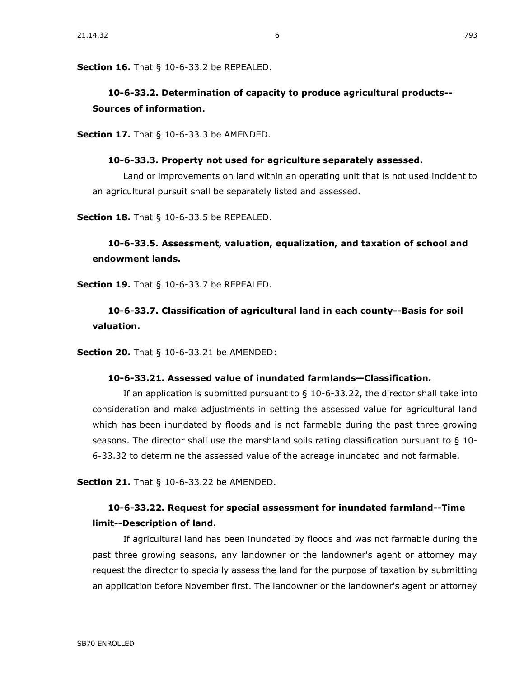## **[10-6-33.2. D](https://sdlegislature.gov/Statutes/Codified_Laws/DisplayStatute.aspx?Type=Statute&Statute=10-6-33.2)etermination of capacity to produce agricultural products-- Sources of information.**

**Section 17.** [That § 10-6-33.3 be AMENDED.](https://sdlegislature.gov/Statutes/Codified_Laws/DisplayStatute.aspx?Type=Statute&Statute=10-6-33.3)

#### **[10-6-33.3. P](https://sdlegislature.gov/Statutes/Codified_Laws/DisplayStatute.aspx?Type=Statute&Statute=10-6-33.3)roperty not used for agriculture separately assessed.**

Land or improvements on land within an operating unit that is not used incident to an agricultural pursuit shall be separately listed and assessed.

**Section 18.** [That § 10-6-33.5 be REPEALED.](https://sdlegislature.gov/Statutes/Codified_Laws/DisplayStatute.aspx?Type=Statute&Statute=10-6-33.5)

#### **[10-6-33.5. A](https://sdlegislature.gov/Statutes/Codified_Laws/DisplayStatute.aspx?Type=Statute&Statute=10-6-33.5)ssessment, valuation, equalization, and taxation of school and endowment lands.**

**Section 19.** [That § 10-6-33.7 be REPEALED.](https://sdlegislature.gov/Statutes/Codified_Laws/DisplayStatute.aspx?Type=Statute&Statute=10-6-33.7)

## **[10-6-33.7. C](https://sdlegislature.gov/Statutes/Codified_Laws/DisplayStatute.aspx?Type=Statute&Statute=10-6-33.7)lassification of agricultural land in each county--Basis for soil valuation.**

**Section 20.** [That § 10-6-33.21 be AMENDED:](https://sdlegislature.gov/Statutes/Codified_Laws/DisplayStatute.aspx?Type=Statute&Statute=10-6-33.21)

#### **[10-6-33.21. A](https://sdlegislature.gov/Statutes/Codified_Laws/DisplayStatute.aspx?Type=Statute&Statute=10-6-33.21)ssessed value of inundated farmlands--Classification.**

If an application is submitted pursuant to  $\S$  [10-6-33.22,](https://sdlegislature.gov/Statutes/Codified_Laws/DisplayStatute.aspx?Type=Statute&Statute=10-6-33.22) the director shall take into consideration and make adjustments in setting the assessed value for agricultural land which has been inundated by floods and is not farmable during the past three growing seasons. The director shall use the marshland soils rating classification pursuant to § [10-](https://sdlegislature.gov/Statutes/Codified_Laws/DisplayStatute.aspx?Type=Statute&Statute=10-6-33.32) [6-33.32](https://sdlegislature.gov/Statutes/Codified_Laws/DisplayStatute.aspx?Type=Statute&Statute=10-6-33.32) to determine the assessed value of the acreage inundated and not farmable.

**Section 21.** [That § 10-6-33.22 be AMENDED.](https://sdlegislature.gov/Statutes/Codified_Laws/DisplayStatute.aspx?Type=Statute&Statute=10-6-33.22)

### **[10-6-33.22. R](https://sdlegislature.gov/Statutes/Codified_Laws/DisplayStatute.aspx?Type=Statute&Statute=10-6-33.22)equest for special assessment for inundated farmland--Time limit--Description of land.**

If agricultural land has been inundated by floods and was not farmable during the past three growing seasons, any landowner or the landowner's agent or attorney may request the director to specially assess the land for the purpose of taxation by submitting an application before November first. The landowner or the landowner's agent or attorney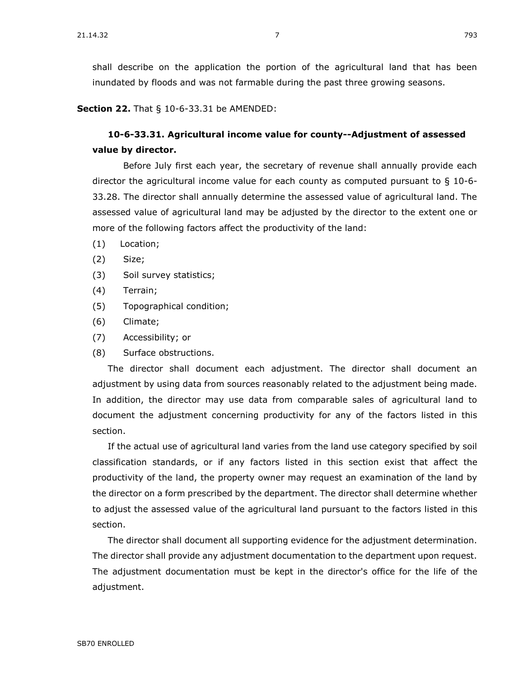shall describe on the application the portion of the agricultural land that has been inundated by floods and was not farmable during the past three growing seasons.

**Section 22.** [That § 10-6-33.31 be AMENDED:](https://sdlegislature.gov/Statutes/Codified_Laws/DisplayStatute.aspx?Type=Statute&Statute=10-6-33.31)

## **[10-6-33.31. A](https://sdlegislature.gov/Statutes/Codified_Laws/DisplayStatute.aspx?Type=Statute&Statute=10-6-33.31)gricultural income value for county--Adjustment of assessed value by director.**

Before July first each year, the secretary of revenue shall annually provide each director the agricultural income value for each county as computed pursuant to § [10-6-](https://sdlegislature.gov/Statutes/Codified_Laws/DisplayStatute.aspx?Type=Statute&Statute=10-6-33.28) [33.28.](https://sdlegislature.gov/Statutes/Codified_Laws/DisplayStatute.aspx?Type=Statute&Statute=10-6-33.28) The director shall annually determine the assessed value of agricultural land. The assessed value of agricultural land may be adjusted by the director to the extent one or more of the following factors affect the productivity of the land:

- (1) Location;
- (2) Size;
- (3) Soil survey statistics;
- (4) Terrain;
- (5) Topographical condition;
- (6) Climate;
- (7) Accessibility; or
- (8) Surface obstructions.

The director shall document each adjustment. The director shall document an adjustment by using data from sources reasonably related to the adjustment being made. In addition, the director may use data from comparable sales of agricultural land to document the adjustment concerning productivity for any of the factors listed in this section.

If the actual use of agricultural land varies from the land use category specified by soil classification standards, or if any factors listed in this section exist that affect the productivity of the land, the property owner may request an examination of the land by the director on a form prescribed by the department. The director shall determine whether to adjust the assessed value of the agricultural land pursuant to the factors listed in this section.

The director shall document all supporting evidence for the adjustment determination. The director shall provide any adjustment documentation to the department upon request. The adjustment documentation must be kept in the director's office for the life of the adjustment.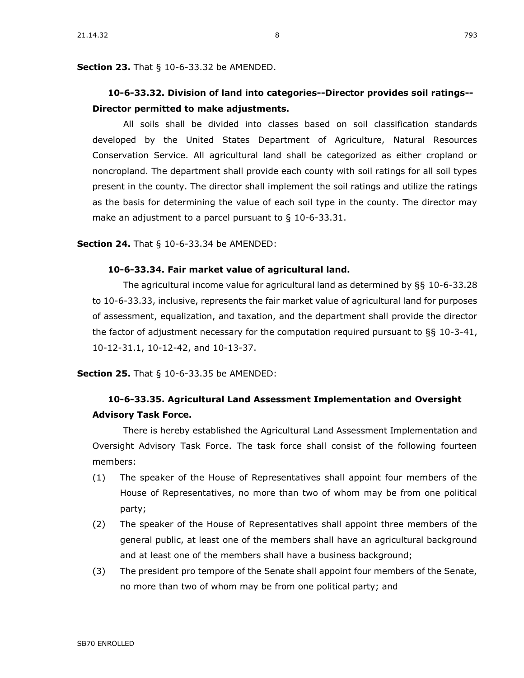**Section 23.** [That § 10-6-33.32 be AMENDED.](https://sdlegislature.gov/Statutes/Codified_Laws/DisplayStatute.aspx?Type=Statute&Statute=10-6-33.32)

## **[10-6-33.32. D](https://sdlegislature.gov/Statutes/Codified_Laws/DisplayStatute.aspx?Type=Statute&Statute=10-6-33.32)ivision of land into categories--Director provides soil ratings-- Director permitted to make adjustments.**

All soils shall be divided into classes based on soil classification standards developed by the United States Department of Agriculture, Natural Resources Conservation Service. All agricultural land shall be categorized as either cropland or noncropland. The department shall provide each county with soil ratings for all soil types present in the county. The director shall implement the soil ratings and utilize the ratings as the basis for determining the value of each soil type in the county. The director may make an adjustment to a parcel pursuant to § [10-6-33.31.](https://sdlegislature.gov/Statutes/Codified_Laws/DisplayStatute.aspx?Type=Statute&Statute=10-6-33.31)

**Section 24.** [That § 10-6-33.34 be AMENDED:](https://sdlegislature.gov/Statutes/Codified_Laws/DisplayStatute.aspx?Type=Statute&Statute=10-6-33.34)

#### **[10-6-33.34. F](https://sdlegislature.gov/Statutes/Codified_Laws/DisplayStatute.aspx?Type=Statute&Statute=10-6-33.34)air market value of agricultural land.**

The agricultural income value for agricultural land as determined by §§ [10-6-33.28](https://sdlegislature.gov/Statutes/Codified_Laws/DisplayStatute.aspx?Type=Statute&Statute=10-6-33.28) to [10-6-33.33,](https://sdlegislature.gov/Statutes/Codified_Laws/DisplayStatute.aspx?Type=Statute&Statute=10-6-33.33) inclusive, represents the fair market value of agricultural land for purposes of assessment, equalization, and taxation, and the department shall provide the director the factor of adjustment necessary for the computation required pursuant to §§ [10-3-41,](https://sdlegislature.gov/Statutes/Codified_Laws/DisplayStatute.aspx?Type=Statute&Statute=10-3-41) [10-12-31.1,](https://sdlegislature.gov/Statutes/Codified_Laws/DisplayStatute.aspx?Type=Statute&Statute=10-12-31.1) [10-12-42,](https://sdlegislature.gov/Statutes/Codified_Laws/DisplayStatute.aspx?Type=Statute&Statute=10-12-42) and [10-13-37.](https://sdlegislature.gov/Statutes/Codified_Laws/DisplayStatute.aspx?Type=Statute&Statute=10-13-37)

**Section 25.** [That § 10-6-33.35 be AMENDED:](https://sdlegislature.gov/Statutes/Codified_Laws/DisplayStatute.aspx?Type=Statute&Statute=10-6-33.35)

## **[10-6-33.35. A](https://sdlegislature.gov/Statutes/Codified_Laws/DisplayStatute.aspx?Type=Statute&Statute=10-6-33.35)gricultural Land Assessment Implementation and Oversight Advisory Task Force.**

There is hereby established the Agricultural Land Assessment Implementation and Oversight Advisory Task Force. The task force shall consist of the following fourteen members:

- (1) The speaker of the House of Representatives shall appoint four members of the House of Representatives, no more than two of whom may be from one political party;
- (2) The speaker of the House of Representatives shall appoint three members of the general public, at least one of the members shall have an agricultural background and at least one of the members shall have a business background;
- (3) The president pro tempore of the Senate shall appoint four members of the Senate, no more than two of whom may be from one political party; and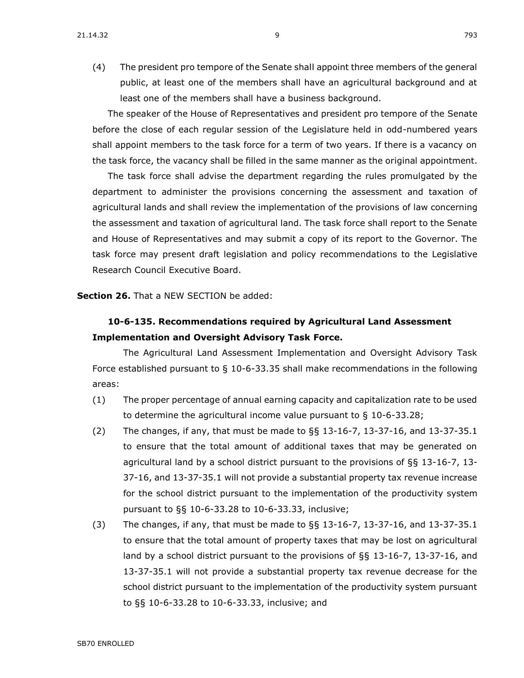(4) The president pro tempore of the Senate shall appoint three members of the general public, at least one of the members shall have an agricultural background and at least one of the members shall have a business background.

The speaker of the House of Representatives and president pro tempore of the Senate before the close of each regular session of the Legislature held in odd-numbered years shall appoint members to the task force for a term of two years. If there is a vacancy on the task force, the vacancy shall be filled in the same manner as the original appointment.

The task force shall advise the department regarding the rules promulgated by the department to administer the provisions concerning the assessment and taxation of agricultural lands and shall review the implementation of the provisions of law concerning the assessment and taxation of agricultural land. The task force shall report to the Senate and House of Representatives and may submit a copy of its report to the Governor. The task force may present draft legislation and policy recommendations to the Legislative Research Council Executive Board.

**Section 26.** That a NEW SECTION be added:

## **10-6-135. Recommendations required by Agricultural Land Assessment Implementation and Oversight Advisory Task Force.**

The Agricultural Land Assessment Implementation and Oversight Advisory Task Force established pursuant to § [10-6-33.35](https://sdlegislature.gov/Statutes/Codified_Laws/DisplayStatute.aspx?Type=Statute&Statute=10-6-33.35) shall make recommendations in the following areas:

- (1) The proper percentage of annual earning capacity and capitalization rate to be used to determine the agricultural income value pursuant to § [10-6-33.28;](https://sdlegislature.gov/Statutes/Codified_Laws/DisplayStatute.aspx?Type=Statute&Statute=10-6-33.28)
- (2) The changes, if any, that must be made to §§ [13-16-7,](https://sdlegislature.gov/Statutes/Codified_Laws/DisplayStatute.aspx?Type=Statute&Statute=13-16-7) [13-37-16,](https://sdlegislature.gov/Statutes/Codified_Laws/DisplayStatute.aspx?Type=Statute&Statute=13-37-16) and [13-37-35.1](https://sdlegislature.gov/Statutes/Codified_Laws/DisplayStatute.aspx?Type=Statute&Statute=13-37-35.1) to ensure that the total amount of additional taxes that may be generated on agricultural land by a school district pursuant to the provisions of  $\S$ § [13-16-7,](https://sdlegislature.gov/Statutes/Codified_Laws/DisplayStatute.aspx?Type=Statute&Statute=13-16-7) [13-](https://sdlegislature.gov/Statutes/Codified_Laws/DisplayStatute.aspx?Type=Statute&Statute=13-37-16) [37-16,](https://sdlegislature.gov/Statutes/Codified_Laws/DisplayStatute.aspx?Type=Statute&Statute=13-37-16) and [13-37-35.1](https://sdlegislature.gov/Statutes/Codified_Laws/DisplayStatute.aspx?Type=Statute&Statute=13-37-35.1) will not provide a substantial property tax revenue increase for the school district pursuant to the implementation of the productivity system pursuant to §§ [10-6-33.28](https://sdlegislature.gov/Statutes/Codified_Laws/DisplayStatute.aspx?Type=Statute&Statute=10-6-33.28) to [10-6-33.33,](https://sdlegislature.gov/Statutes/Codified_Laws/DisplayStatute.aspx?Type=Statute&Statute=10-6-33.33) inclusive;
- (3) The changes, if any, that must be made to §§ [13-16-7,](https://sdlegislature.gov/Statutes/Codified_Laws/DisplayStatute.aspx?Type=Statute&Statute=13-16-7) [13-37-16,](https://sdlegislature.gov/Statutes/Codified_Laws/DisplayStatute.aspx?Type=Statute&Statute=13-37-16) and [13-37-35.1](https://sdlegislature.gov/Statutes/Codified_Laws/DisplayStatute.aspx?Type=Statute&Statute=13-37-35.1) to ensure that the total amount of property taxes that may be lost on agricultural land by a school district pursuant to the provisions of §§ [13-16-7,](https://sdlegislature.gov/Statutes/Codified_Laws/DisplayStatute.aspx?Type=Statute&Statute=13-16-7) [13-37-16,](https://sdlegislature.gov/Statutes/Codified_Laws/DisplayStatute.aspx?Type=Statute&Statute=13-37-16) and [13-37-35.1](https://sdlegislature.gov/Statutes/Codified_Laws/DisplayStatute.aspx?Type=Statute&Statute=13-37-35.1) will not provide a substantial property tax revenue decrease for the school district pursuant to the implementation of the productivity system pursuant to §§ [10-6-33.28](https://sdlegislature.gov/Statutes/Codified_Laws/DisplayStatute.aspx?Type=Statute&Statute=10-6-33.28) to [10-6-33.33,](https://sdlegislature.gov/Statutes/Codified_Laws/DisplayStatute.aspx?Type=Statute&Statute=10-6-33.33) inclusive; and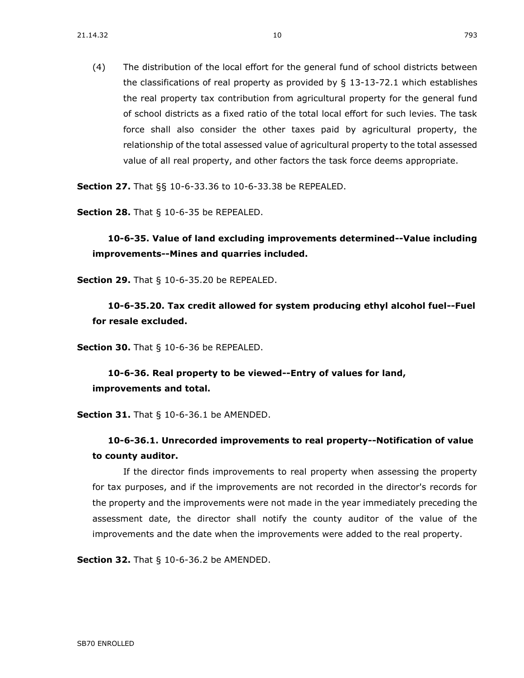(4) The distribution of the local effort for the general fund of school districts between the classifications of real property as provided by  $\S$  [13-13-72.1](https://sdlegislature.gov/Statutes/Codified_Laws/DisplayStatute.aspx?Type=Statute&Statute=13-13-72.1) which establishes the real property tax contribution from agricultural property for the general fund of school districts as a fixed ratio of the total local effort for such levies. The task force shall also consider the other taxes paid by agricultural property, the relationship of the total assessed value of agricultural property to the total assessed value of all real property, and other factors the task force deems appropriate.

**Section 27.** [That §§ 10-6-33.36 to 10-6-33.38 be REPEALED.](https://sdlegislature.gov/Statutes/Codified_Laws/DisplayStatute.aspx?Type=Multi&Statute=10-6-33.36&Statute=10-6-33.38)

**Section 28.** [That § 10-6-35 be REPEALED.](https://sdlegislature.gov/Statutes/Codified_Laws/DisplayStatute.aspx?Type=Statute&Statute=10-6-35)

**[10-6-35. V](https://sdlegislature.gov/Statutes/Codified_Laws/DisplayStatute.aspx?Type=Statute&Statute=10-6-35)alue of land excluding improvements determined--Value including improvements--Mines and quarries included.**

**Section 29.** [That § 10-6-35.20 be REPEALED.](https://sdlegislature.gov/Statutes/Codified_Laws/DisplayStatute.aspx?Type=Statute&Statute=10-6-35.20)

**[10-6-35.20. T](https://sdlegislature.gov/Statutes/Codified_Laws/DisplayStatute.aspx?Type=Statute&Statute=10-6-35.20)ax credit allowed for system producing ethyl alcohol fuel--Fuel for resale excluded.**

**Section 30.** [That § 10-6-36 be REPEALED.](https://sdlegislature.gov/Statutes/Codified_Laws/DisplayStatute.aspx?Type=Statute&Statute=10-6-36)

**[10-6-36. R](https://sdlegislature.gov/Statutes/Codified_Laws/DisplayStatute.aspx?Type=Statute&Statute=10-6-36)eal property to be viewed--Entry of values for land, improvements and total.**

**Section 31.** [That § 10-6-36.1 be AMENDED.](https://sdlegislature.gov/Statutes/Codified_Laws/DisplayStatute.aspx?Type=Statute&Statute=10-6-36.1)

### **[10-6-36.1. U](https://sdlegislature.gov/Statutes/Codified_Laws/DisplayStatute.aspx?Type=Statute&Statute=10-6-36.1)nrecorded improvements to real property--Notification of value to county auditor.**

If the director finds improvements to real property when assessing the property for tax purposes, and if the improvements are not recorded in the director's records for the property and the improvements were not made in the year immediately preceding the assessment date, the director shall notify the county auditor of the value of the improvements and the date when the improvements were added to the real property.

**Section 32.** [That § 10-6-36.2 be AMENDED.](https://sdlegislature.gov/Statutes/Codified_Laws/DisplayStatute.aspx?Type=Statute&Statute=10-6-36.2)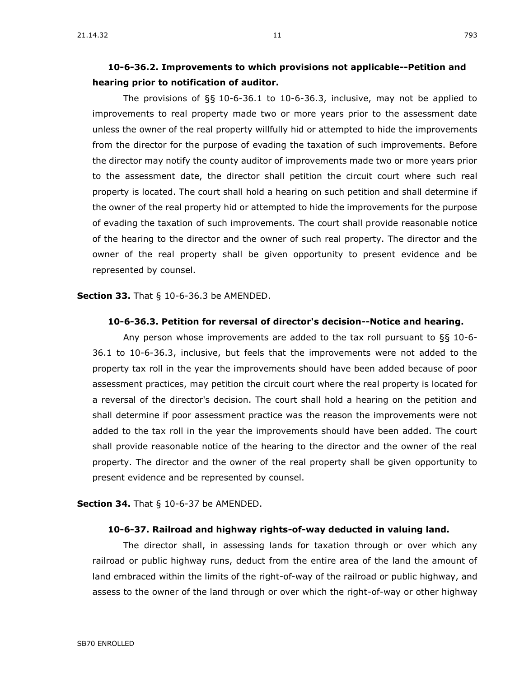The provisions of §§ [10-6-36.1](https://sdlegislature.gov/Statutes/Codified_Laws/DisplayStatute.aspx?Type=Statute&Statute=10-6-36.1) to [10-6-36.3,](https://sdlegislature.gov/Statutes/Codified_Laws/DisplayStatute.aspx?Type=Statute&Statute=10-6-36.3) inclusive, may not be applied to improvements to real property made two or more years prior to the assessment date unless the owner of the real property willfully hid or attempted to hide the improvements from the director for the purpose of evading the taxation of such improvements. Before the director may notify the county auditor of improvements made two or more years prior to the assessment date, the director shall petition the circuit court where such real property is located. The court shall hold a hearing on such petition and shall determine if the owner of the real property hid or attempted to hide the improvements for the purpose of evading the taxation of such improvements. The court shall provide reasonable notice of the hearing to the director and the owner of such real property. The director and the owner of the real property shall be given opportunity to present evidence and be represented by counsel.

**Section 33.** [That § 10-6-36.3 be AMENDED.](https://sdlegislature.gov/Statutes/Codified_Laws/DisplayStatute.aspx?Type=Statute&Statute=10-6-36.3)

#### **[10-6-36.3. P](https://sdlegislature.gov/Statutes/Codified_Laws/DisplayStatute.aspx?Type=Statute&Statute=10-6-36.3)etition for reversal of director's decision--Notice and hearing.**

Any person whose improvements are added to the tax roll pursuant to §§ [10-6-](https://sdlegislature.gov/Statutes/Codified_Laws/DisplayStatute.aspx?Type=Statute&Statute=10-6-36.1) [36.1](https://sdlegislature.gov/Statutes/Codified_Laws/DisplayStatute.aspx?Type=Statute&Statute=10-6-36.1) to [10-6-36.3,](https://sdlegislature.gov/Statutes/Codified_Laws/DisplayStatute.aspx?Type=Statute&Statute=10-6-36.3) inclusive, but feels that the improvements were not added to the property tax roll in the year the improvements should have been added because of poor assessment practices, may petition the circuit court where the real property is located for a reversal of the director's decision. The court shall hold a hearing on the petition and shall determine if poor assessment practice was the reason the improvements were not added to the tax roll in the year the improvements should have been added. The court shall provide reasonable notice of the hearing to the director and the owner of the real property. The director and the owner of the real property shall be given opportunity to present evidence and be represented by counsel.

**Section 34.** [That § 10-6-37 be AMENDED.](https://sdlegislature.gov/Statutes/Codified_Laws/DisplayStatute.aspx?Type=Statute&Statute=10-6-37)

#### **[10-6-37. R](https://sdlegislature.gov/Statutes/Codified_Laws/DisplayStatute.aspx?Type=Statute&Statute=10-6-37)ailroad and highway rights-of-way deducted in valuing land.**

The director shall, in assessing lands for taxation through or over which any railroad or public highway runs, deduct from the entire area of the land the amount of land embraced within the limits of the right-of-way of the railroad or public highway, and assess to the owner of the land through or over which the right-of-way or other highway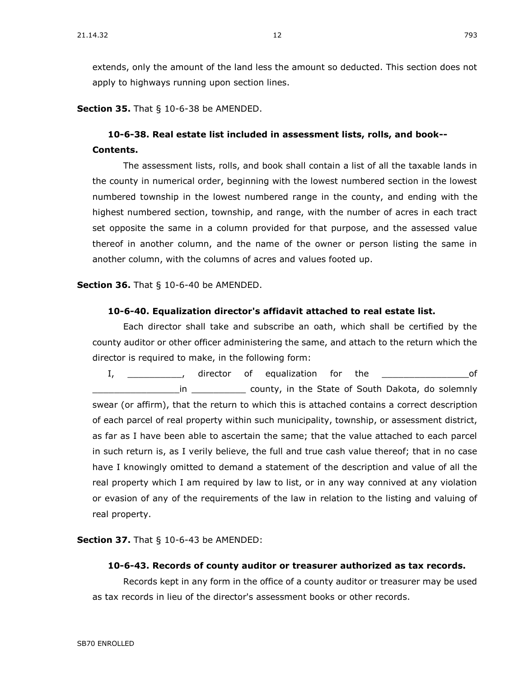**Section 35.** [That § 10-6-38 be AMENDED.](https://sdlegislature.gov/Statutes/Codified_Laws/DisplayStatute.aspx?Type=Statute&Statute=10-6-38)

## **[10-6-38. R](https://sdlegislature.gov/Statutes/Codified_Laws/DisplayStatute.aspx?Type=Statute&Statute=10-6-38)eal estate list included in assessment lists, rolls, and book-- Contents.**

The assessment lists, rolls, and book shall contain a list of all the taxable lands in the county in numerical order, beginning with the lowest numbered section in the lowest numbered township in the lowest numbered range in the county, and ending with the highest numbered section, township, and range, with the number of acres in each tract set opposite the same in a column provided for that purpose, and the assessed value thereof in another column, and the name of the owner or person listing the same in another column, with the columns of acres and values footed up.

**Section 36.** [That § 10-6-40 be AMENDED.](https://sdlegislature.gov/Statutes/Codified_Laws/DisplayStatute.aspx?Type=Statute&Statute=10-6-40)

#### **[10-6-40. E](https://sdlegislature.gov/Statutes/Codified_Laws/DisplayStatute.aspx?Type=Statute&Statute=10-6-40)qualization director's affidavit attached to real estate list.**

Each director shall take and subscribe an oath, which shall be certified by the county auditor or other officer administering the same, and attach to the return which the director is required to make, in the following form:

I, \_\_\_\_\_\_\_\_\_\_\_, director of equalization for the \_\_\_\_\_\_\_\_\_\_\_\_\_\_\_\_\_\_\_\_\_\_\_of \_\_\_\_\_\_\_\_\_\_\_\_\_\_\_\_in \_\_\_\_\_\_\_\_\_\_ county, in the State of South Dakota, do solemnly swear (or affirm), that the return to which this is attached contains a correct description of each parcel of real property within such municipality, township, or assessment district, as far as I have been able to ascertain the same; that the value attached to each parcel in such return is, as I verily believe, the full and true cash value thereof; that in no case have I knowingly omitted to demand a statement of the description and value of all the real property which I am required by law to list, or in any way connived at any violation or evasion of any of the requirements of the law in relation to the listing and valuing of real property.

**Section 37.** That § [10-6-43 be AMENDED:](https://sdlegislature.gov/Statutes/Codified_Laws/DisplayStatute.aspx?Type=Statute&Statute=10-6-43)

#### **[10-6-43. R](https://sdlegislature.gov/Statutes/Codified_Laws/DisplayStatute.aspx?Type=Statute&Statute=10-6-43)ecords of county auditor or treasurer authorized as tax records.**

Records kept in any form in the office of a county auditor or treasurer may be used as tax records in lieu of the director's assessment books or other records.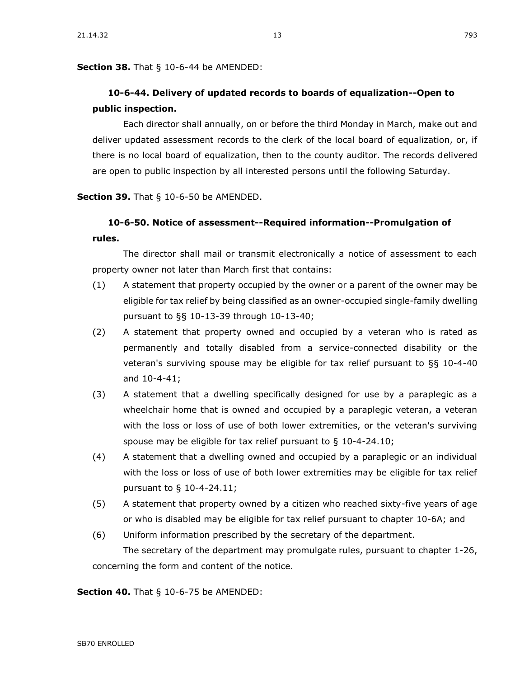**Section 38.** [That § 10-6-44 be AMENDED:](https://sdlegislature.gov/Statutes/Codified_Laws/DisplayStatute.aspx?Type=Statute&Statute=10-6-44)

## **[10-6-44. D](https://sdlegislature.gov/Statutes/Codified_Laws/DisplayStatute.aspx?Type=Statute&Statute=10-6-44)elivery of updated records to boards of equalization--Open to public inspection.**

Each director shall annually, on or before the third Monday in March, make out and deliver updated assessment records to the clerk of the local board of equalization, or, if there is no local board of equalization, then to the county auditor. The records delivered are open to public inspection by all interested persons until the following Saturday.

**Section 39.** [That § 10-6-50 be AMENDED.](https://sdlegislature.gov/Statutes/Codified_Laws/DisplayStatute.aspx?Type=Statute&Statute=10-6-50)

#### **[10-6-50. N](https://sdlegislature.gov/Statutes/Codified_Laws/DisplayStatute.aspx?Type=Statute&Statute=10-6-50)otice of assessment--Required information--Promulgation of rules.**

The director shall mail or transmit electronically a notice of assessment to each property owner not later than March first that contains:

- (1) A statement that property occupied by the owner or a parent of the owner may be eligible for tax relief by being classified as an owner-occupied single-family dwelling pursuant to §§ [10-13-39](https://sdlegislature.gov/Statutes/Codified_Laws/DisplayStatute.aspx?Type=Statute&Statute=10-13-39) through [10-13-40;](https://sdlegislature.gov/Statutes/Codified_Laws/DisplayStatute.aspx?Type=Statute&Statute=10-13-40)
- (2) A statement that property owned and occupied by a veteran who is rated as permanently and totally disabled from a service-connected disability or the veteran's surviving spouse may be eligible for tax relief pursuant to §§ [10-4-40](https://sdlegislature.gov/Statutes/Codified_Laws/DisplayStatute.aspx?Type=Statute&Statute=10-4-40) and [10-4-41;](https://sdlegislature.gov/Statutes/Codified_Laws/DisplayStatute.aspx?Type=Statute&Statute=10-4-41)
- (3) A statement that a dwelling specifically designed for use by a paraplegic as a wheelchair home that is owned and occupied by a paraplegic veteran, a veteran with the loss or loss of use of both lower extremities, or the veteran's surviving spouse may be eligible for tax relief pursuant to § [10-4-24.10;](https://sdlegislature.gov/Statutes/Codified_Laws/DisplayStatute.aspx?Type=Statute&Statute=10-4-24.10)
- (4) A statement that a dwelling owned and occupied by a paraplegic or an individual with the loss or loss of use of both lower extremities may be eligible for tax relief pursuant to § [10-4-24.11;](https://sdlegislature.gov/Statutes/Codified_Laws/DisplayStatute.aspx?Type=Statute&Statute=10-4-24.11)
- (5) A statement that property owned by a citizen who reached sixty-five years of age or who is disabled may be eligible for tax relief pursuant to chapter [10-6A;](https://sdlegislature.gov/Statutes/Codified_Laws/DisplayStatute.aspx?Type=Statute&Statute=10-6A) and
- (6) Uniform information prescribed by the secretary of the department. The secretary of the department may promulgate rules, pursuant to chapter [1-26,](https://sdlegislature.gov/Statutes/Codified_Laws/DisplayStatute.aspx?Type=Statute&Statute=1-26) concerning the form and content of the notice.

**Section 40.** [That § 10-6-75 be AMENDED:](https://sdlegislature.gov/Statutes/Codified_Laws/DisplayStatute.aspx?Type=Statute&Statute=10-6-75)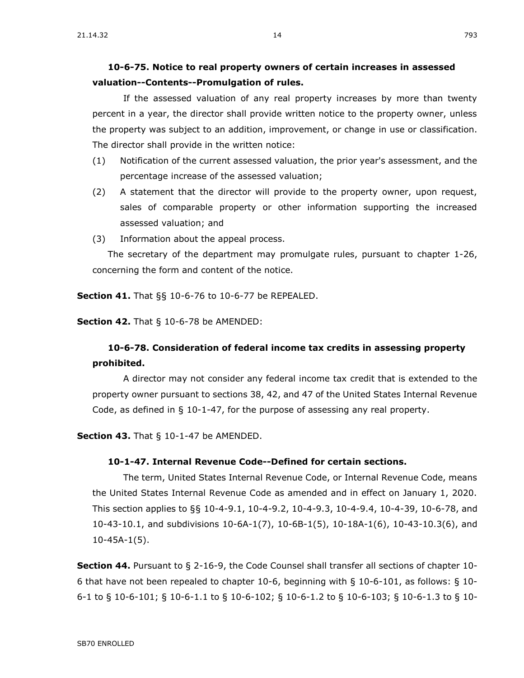If the assessed valuation of any real property increases by more than twenty percent in a year, the director shall provide written notice to the property owner, unless the property was subject to an addition, improvement, or change in use or classification. The director shall provide in the written notice:

- (1) Notification of the current assessed valuation, the prior year's assessment, and the percentage increase of the assessed valuation;
- (2) A statement that the director will provide to the property owner, upon request, sales of comparable property or other information supporting the increased assessed valuation; and
- (3) Information about the appeal process.

The secretary of the department may promulgate rules, pursuant to chapter [1-26,](https://sdlegislature.gov/Statutes/Codified_Laws/DisplayStatute.aspx?Type=Statute&Statute=1-26) concerning the form and content of the notice.

**Section 41.** [That §§ 10-6-76 to 10-6-77 be REPEALED.](https://sdlegislature.gov/Statutes/Codified_Laws/DisplayStatute.aspx?Type=Multi&Statute=10-6-76&Statute=10-6-77)

**Section 42.** [That § 10-6-78 be AMENDED:](https://sdlegislature.gov/Statutes/Codified_Laws/DisplayStatute.aspx?Type=Statute&Statute=10-6-78)

## **[10-6-78. C](https://sdlegislature.gov/Statutes/Codified_Laws/DisplayStatute.aspx?Type=Statute&Statute=10-6-78)onsideration of federal income tax credits in assessing property prohibited.**

A director may not consider any federal income tax credit that is extended to the property owner pursuant to sections 38, 42, and 47 of the United States Internal Revenue Code, as defined in § [10-1-47,](https://sdlegislature.gov/Statutes/Codified_Laws/DisplayStatute.aspx?Type=Statute&Statute=10-1-47) for the purpose of assessing any real property.

**Section 43.** [That § 10-1-47 be AMENDED.](https://sdlegislature.gov/Statutes/Codified_Laws/DisplayStatute.aspx?Type=Statute&Statute=10-1-47)

#### **[10-1-47. I](https://sdlegislature.gov/Statutes/Codified_Laws/DisplayStatute.aspx?Type=Statute&Statute=10-1-47)nternal Revenue Code--Defined for certain sections.**

The term, United States Internal Revenue Code, or Internal Revenue Code, means the United States Internal Revenue Code as amended and in effect on January 1, 2020. This section applies to §§ [10-4-9.1,](https://sdlegislature.gov/Statutes/Codified_Laws/DisplayStatute.aspx?Type=Statute&Statute=10-4-9.1) [10-4-9.2,](https://sdlegislature.gov/Statutes/Codified_Laws/DisplayStatute.aspx?Type=Statute&Statute=10-4-9.2) [10-4-9.3,](https://sdlegislature.gov/Statutes/Codified_Laws/DisplayStatute.aspx?Type=Statute&Statute=10-4-9.3) [10-4-9.4,](https://sdlegislature.gov/Statutes/Codified_Laws/DisplayStatute.aspx?Type=Statute&Statute=10-4-9.4) [10-4-39,](https://sdlegislature.gov/Statutes/Codified_Laws/DisplayStatute.aspx?Type=Statute&Statute=10-4-39) [10-6-78,](https://sdlegislature.gov/Statutes/Codified_Laws/DisplayStatute.aspx?Type=Statute&Statute=10-6-78) and [10-43-10.1,](https://sdlegislature.gov/Statutes/Codified_Laws/DisplayStatute.aspx?Type=Statute&Statute=10-43-10.1) and subdivisions [10-6A-1\(](https://sdlegislature.gov/Statutes/Codified_Laws/DisplayStatute.aspx?Type=Statute&Statute=10-6A-1)7), [10-6B-1\(](https://sdlegislature.gov/Statutes/Codified_Laws/DisplayStatute.aspx?Type=Statute&Statute=10-6B-1)5), [10-18A-1\(](https://sdlegislature.gov/Statutes/Codified_Laws/DisplayStatute.aspx?Type=Statute&Statute=10-18A-1)6), [10-43-10.3\(](https://sdlegislature.gov/Statutes/Codified_Laws/DisplayStatute.aspx?Type=Statute&Statute=10-43-10.3)6), and [10-45A-1\(](https://sdlegislature.gov/Statutes/Codified_Laws/DisplayStatute.aspx?Type=Statute&Statute=10-45A-1)5).

**Section 44.** Pursuant to § [2-16-9,](https://sdlegislature.gov/Statutes/Codified_Laws/DisplayStatute.aspx?Type=Statute&Statute=2-16-9) the Code Counsel shall transfer all sections of chapter [10-](https://sdlegislature.gov/Statutes/Codified_Laws/DisplayStatute.aspx?Type=Statute&Statute=10-6) [6](https://sdlegislature.gov/Statutes/Codified_Laws/DisplayStatute.aspx?Type=Statute&Statute=10-6) that have not been repealed to chapter [10-6,](https://sdlegislature.gov/Statutes/Codified_Laws/DisplayStatute.aspx?Type=Statute&Statute=10-6) beginning with § [10-6-](https://sdlegislature.gov/Statutes/Codified_Laws/DisplayStatute.aspx?Type=Statute&Statute=10-6)101, as follows: § [10-](https://sdlegislature.gov/Statutes/Codified_Laws/DisplayStatute.aspx?Type=Statute&Statute=10-6) [6-](https://sdlegislature.gov/Statutes/Codified_Laws/DisplayStatute.aspx?Type=Statute&Statute=10-6)1 to § [10-6-](https://sdlegislature.gov/Statutes/Codified_Laws/DisplayStatute.aspx?Type=Statute&Statute=10-6)101; § [10-6-](https://sdlegislature.gov/Statutes/Codified_Laws/DisplayStatute.aspx?Type=Statute&Statute=10-6)1.1 to § [10-6-](https://sdlegislature.gov/Statutes/Codified_Laws/DisplayStatute.aspx?Type=Statute&Statute=10-6)102; § [10-6-](https://sdlegislature.gov/Statutes/Codified_Laws/DisplayStatute.aspx?Type=Statute&Statute=10-6)1.2 to § [10-6-](https://sdlegislature.gov/Statutes/Codified_Laws/DisplayStatute.aspx?Type=Statute&Statute=10-6)103; § [10-6-](https://sdlegislature.gov/Statutes/Codified_Laws/DisplayStatute.aspx?Type=Statute&Statute=10-6)1.3 to § [10-](https://sdlegislature.gov/Statutes/Codified_Laws/DisplayStatute.aspx?Type=Statute&Statute=10-6)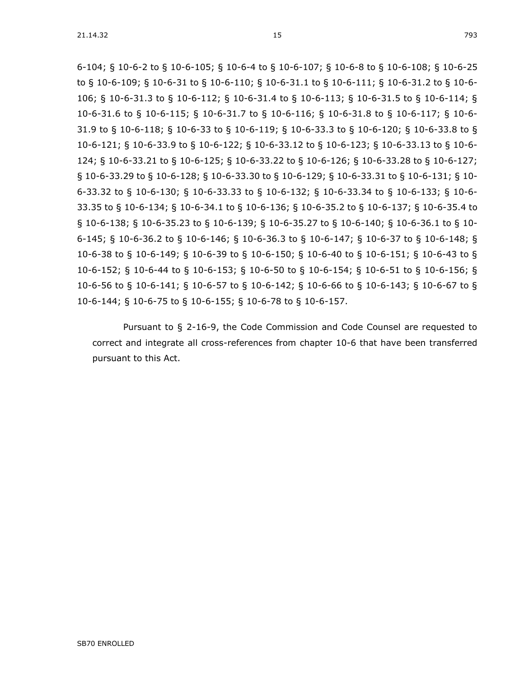[6-](https://sdlegislature.gov/Statutes/Codified_Laws/DisplayStatute.aspx?Type=Statute&Statute=10-6)104; § [10-6-](https://sdlegislature.gov/Statutes/Codified_Laws/DisplayStatute.aspx?Type=Statute&Statute=10-6)2 to § [10-6-](https://sdlegislature.gov/Statutes/Codified_Laws/DisplayStatute.aspx?Type=Statute&Statute=10-6)105; § [10-6-](https://sdlegislature.gov/Statutes/Codified_Laws/DisplayStatute.aspx?Type=Statute&Statute=10-6)4 to § [10-6-](https://sdlegislature.gov/Statutes/Codified_Laws/DisplayStatute.aspx?Type=Statute&Statute=10-6)107; § [10-6-](https://sdlegislature.gov/Statutes/Codified_Laws/DisplayStatute.aspx?Type=Statute&Statute=10-6)8 to § [10-6-](https://sdlegislature.gov/Statutes/Codified_Laws/DisplayStatute.aspx?Type=Statute&Statute=10-6)108; § [10-6-](https://sdlegislature.gov/Statutes/Codified_Laws/DisplayStatute.aspx?Type=Statute&Statute=10-6)25 to § [10-6-](https://sdlegislature.gov/Statutes/Codified_Laws/DisplayStatute.aspx?Type=Statute&Statute=10-6)109; § [10-6-](https://sdlegislature.gov/Statutes/Codified_Laws/DisplayStatute.aspx?Type=Statute&Statute=10-6)31 to § [10-6-](https://sdlegislature.gov/Statutes/Codified_Laws/DisplayStatute.aspx?Type=Statute&Statute=10-6)110; § [10-6-](https://sdlegislature.gov/Statutes/Codified_Laws/DisplayStatute.aspx?Type=Statute&Statute=10-6)31.1 to § [10-6-](https://sdlegislature.gov/Statutes/Codified_Laws/DisplayStatute.aspx?Type=Statute&Statute=10-6)111; § [10-6-](https://sdlegislature.gov/Statutes/Codified_Laws/DisplayStatute.aspx?Type=Statute&Statute=10-6)31.2 to § [10-6-](https://sdlegislature.gov/Statutes/Codified_Laws/DisplayStatute.aspx?Type=Statute&Statute=10-6) 106; § [10-6-](https://sdlegislature.gov/Statutes/Codified_Laws/DisplayStatute.aspx?Type=Statute&Statute=10-6)31.3 to § [10-6-](https://sdlegislature.gov/Statutes/Codified_Laws/DisplayStatute.aspx?Type=Statute&Statute=10-6)112; § [10-6-](https://sdlegislature.gov/Statutes/Codified_Laws/DisplayStatute.aspx?Type=Statute&Statute=10-6)31.4 to § [10-6-](https://sdlegislature.gov/Statutes/Codified_Laws/DisplayStatute.aspx?Type=Statute&Statute=10-6)113; § [10-6-](https://sdlegislature.gov/Statutes/Codified_Laws/DisplayStatute.aspx?Type=Statute&Statute=10-6)31.5 to § [10-6-](https://sdlegislature.gov/Statutes/Codified_Laws/DisplayStatute.aspx?Type=Statute&Statute=10-6)114; § [10-6-](https://sdlegislature.gov/Statutes/Codified_Laws/DisplayStatute.aspx?Type=Statute&Statute=10-6)31.6 to § [10-6-](https://sdlegislature.gov/Statutes/Codified_Laws/DisplayStatute.aspx?Type=Statute&Statute=10-6)115; § [10-6-](https://sdlegislature.gov/Statutes/Codified_Laws/DisplayStatute.aspx?Type=Statute&Statute=10-6)31.7 to § [10-6-](https://sdlegislature.gov/Statutes/Codified_Laws/DisplayStatute.aspx?Type=Statute&Statute=10-6)116; § [10-6-](https://sdlegislature.gov/Statutes/Codified_Laws/DisplayStatute.aspx?Type=Statute&Statute=10-6)31.8 to § [10-6-](https://sdlegislature.gov/Statutes/Codified_Laws/DisplayStatute.aspx?Type=Statute&Statute=10-6)117; § [10-6-](https://sdlegislature.gov/Statutes/Codified_Laws/DisplayStatute.aspx?Type=Statute&Statute=10-6) 31.9 to § [10-6-](https://sdlegislature.gov/Statutes/Codified_Laws/DisplayStatute.aspx?Type=Statute&Statute=10-6)118; § [10-6-](https://sdlegislature.gov/Statutes/Codified_Laws/DisplayStatute.aspx?Type=Statute&Statute=10-6)33 to § [10-6-](https://sdlegislature.gov/Statutes/Codified_Laws/DisplayStatute.aspx?Type=Statute&Statute=10-6)119; § [10-6-](https://sdlegislature.gov/Statutes/Codified_Laws/DisplayStatute.aspx?Type=Statute&Statute=10-6)33.3 to § [10-6-](https://sdlegislature.gov/Statutes/Codified_Laws/DisplayStatute.aspx?Type=Statute&Statute=10-6)120; § [10-6-](https://sdlegislature.gov/Statutes/Codified_Laws/DisplayStatute.aspx?Type=Statute&Statute=10-6)33.8 to § [10-6-](https://sdlegislature.gov/Statutes/Codified_Laws/DisplayStatute.aspx?Type=Statute&Statute=10-6)121; § [10-6-](https://sdlegislature.gov/Statutes/Codified_Laws/DisplayStatute.aspx?Type=Statute&Statute=10-6)33.9 to § [10-6-](https://sdlegislature.gov/Statutes/Codified_Laws/DisplayStatute.aspx?Type=Statute&Statute=10-6)122; § [10-6-](https://sdlegislature.gov/Statutes/Codified_Laws/DisplayStatute.aspx?Type=Statute&Statute=10-6)33.12 to § [10-6-](https://sdlegislature.gov/Statutes/Codified_Laws/DisplayStatute.aspx?Type=Statute&Statute=10-6)123; § [10-6-](https://sdlegislature.gov/Statutes/Codified_Laws/DisplayStatute.aspx?Type=Statute&Statute=10-6)33.13 to § [10-6-](https://sdlegislature.gov/Statutes/Codified_Laws/DisplayStatute.aspx?Type=Statute&Statute=10-6) 124; § [10-6-](https://sdlegislature.gov/Statutes/Codified_Laws/DisplayStatute.aspx?Type=Statute&Statute=10-6)33.21 to § [10-6-](https://sdlegislature.gov/Statutes/Codified_Laws/DisplayStatute.aspx?Type=Statute&Statute=10-6)125; § [10-6-](https://sdlegislature.gov/Statutes/Codified_Laws/DisplayStatute.aspx?Type=Statute&Statute=10-6)33.22 to § [10-6-](https://sdlegislature.gov/Statutes/Codified_Laws/DisplayStatute.aspx?Type=Statute&Statute=10-6)126; § [10-6-](https://sdlegislature.gov/Statutes/Codified_Laws/DisplayStatute.aspx?Type=Statute&Statute=10-6)33.28 to § [10-6-](https://sdlegislature.gov/Statutes/Codified_Laws/DisplayStatute.aspx?Type=Statute&Statute=10-6)127; § [10-6-](https://sdlegislature.gov/Statutes/Codified_Laws/DisplayStatute.aspx?Type=Statute&Statute=10-6)33.29 to § [10-6-](https://sdlegislature.gov/Statutes/Codified_Laws/DisplayStatute.aspx?Type=Statute&Statute=10-6)128; § [10-6-](https://sdlegislature.gov/Statutes/Codified_Laws/DisplayStatute.aspx?Type=Statute&Statute=10-6)33.30 to § [10-6-](https://sdlegislature.gov/Statutes/Codified_Laws/DisplayStatute.aspx?Type=Statute&Statute=10-6)129; § [10-6-](https://sdlegislature.gov/Statutes/Codified_Laws/DisplayStatute.aspx?Type=Statute&Statute=10-6)33.31 to § [10-6-](https://sdlegislature.gov/Statutes/Codified_Laws/DisplayStatute.aspx?Type=Statute&Statute=10-6)131; § [10-](https://sdlegislature.gov/Statutes/Codified_Laws/DisplayStatute.aspx?Type=Statute&Statute=10-6) [6-](https://sdlegislature.gov/Statutes/Codified_Laws/DisplayStatute.aspx?Type=Statute&Statute=10-6)33.32 to § [10-6-](https://sdlegislature.gov/Statutes/Codified_Laws/DisplayStatute.aspx?Type=Statute&Statute=10-6)130; § [10-6-](https://sdlegislature.gov/Statutes/Codified_Laws/DisplayStatute.aspx?Type=Statute&Statute=10-6)33.33 to § [10-6-](https://sdlegislature.gov/Statutes/Codified_Laws/DisplayStatute.aspx?Type=Statute&Statute=10-6)132; § [10-6-](https://sdlegislature.gov/Statutes/Codified_Laws/DisplayStatute.aspx?Type=Statute&Statute=10-6)33.34 to § [10-6-](https://sdlegislature.gov/Statutes/Codified_Laws/DisplayStatute.aspx?Type=Statute&Statute=10-6)133; § [10-6-](https://sdlegislature.gov/Statutes/Codified_Laws/DisplayStatute.aspx?Type=Statute&Statute=10-6) 33.35 to § [10-6-](https://sdlegislature.gov/Statutes/Codified_Laws/DisplayStatute.aspx?Type=Statute&Statute=10-6)134; § [10-6-](https://sdlegislature.gov/Statutes/Codified_Laws/DisplayStatute.aspx?Type=Statute&Statute=10-6)34.1 to § [10-6-](https://sdlegislature.gov/Statutes/Codified_Laws/DisplayStatute.aspx?Type=Statute&Statute=10-6)136; § [10-6-](https://sdlegislature.gov/Statutes/Codified_Laws/DisplayStatute.aspx?Type=Statute&Statute=10-6)35.2 to § [10-6-](https://sdlegislature.gov/Statutes/Codified_Laws/DisplayStatute.aspx?Type=Statute&Statute=10-6)137; § [10-6-](https://sdlegislature.gov/Statutes/Codified_Laws/DisplayStatute.aspx?Type=Statute&Statute=10-6)35.4 to § [10-6-](https://sdlegislature.gov/Statutes/Codified_Laws/DisplayStatute.aspx?Type=Statute&Statute=10-6)138; § [10-6-](https://sdlegislature.gov/Statutes/Codified_Laws/DisplayStatute.aspx?Type=Statute&Statute=10-6)35.23 to § [10-6-](https://sdlegislature.gov/Statutes/Codified_Laws/DisplayStatute.aspx?Type=Statute&Statute=10-6)139; § [10-6-](https://sdlegislature.gov/Statutes/Codified_Laws/DisplayStatute.aspx?Type=Statute&Statute=10-6)35.27 to § [10-6-](https://sdlegislature.gov/Statutes/Codified_Laws/DisplayStatute.aspx?Type=Statute&Statute=10-6)140; § [10-6-](https://sdlegislature.gov/Statutes/Codified_Laws/DisplayStatute.aspx?Type=Statute&Statute=10-6)36.1 to § [10-](https://sdlegislature.gov/Statutes/Codified_Laws/DisplayStatute.aspx?Type=Statute&Statute=10-6) [6-](https://sdlegislature.gov/Statutes/Codified_Laws/DisplayStatute.aspx?Type=Statute&Statute=10-6)145; § [10-6-](https://sdlegislature.gov/Statutes/Codified_Laws/DisplayStatute.aspx?Type=Statute&Statute=10-6)36.2 to § [10-6-](https://sdlegislature.gov/Statutes/Codified_Laws/DisplayStatute.aspx?Type=Statute&Statute=10-6)146; § [10-6-](https://sdlegislature.gov/Statutes/Codified_Laws/DisplayStatute.aspx?Type=Statute&Statute=10-6)36.3 to § [10-6-](https://sdlegislature.gov/Statutes/Codified_Laws/DisplayStatute.aspx?Type=Statute&Statute=10-6)147; § [10-6-](https://sdlegislature.gov/Statutes/Codified_Laws/DisplayStatute.aspx?Type=Statute&Statute=10-6)37 to § [10-6-](https://sdlegislature.gov/Statutes/Codified_Laws/DisplayStatute.aspx?Type=Statute&Statute=10-6)148; § [10-6-](https://sdlegislature.gov/Statutes/Codified_Laws/DisplayStatute.aspx?Type=Statute&Statute=10-6)38 to § [10-6-](https://sdlegislature.gov/Statutes/Codified_Laws/DisplayStatute.aspx?Type=Statute&Statute=10-6)149; § [10-6-](https://sdlegislature.gov/Statutes/Codified_Laws/DisplayStatute.aspx?Type=Statute&Statute=10-6)39 to § [10-6-](https://sdlegislature.gov/Statutes/Codified_Laws/DisplayStatute.aspx?Type=Statute&Statute=10-6)150; § [10-6-](https://sdlegislature.gov/Statutes/Codified_Laws/DisplayStatute.aspx?Type=Statute&Statute=10-6)40 to § [10-6-](https://sdlegislature.gov/Statutes/Codified_Laws/DisplayStatute.aspx?Type=Statute&Statute=10-6)151; § [10-6-](https://sdlegislature.gov/Statutes/Codified_Laws/DisplayStatute.aspx?Type=Statute&Statute=10-6)43 to § [10-6-](https://sdlegislature.gov/Statutes/Codified_Laws/DisplayStatute.aspx?Type=Statute&Statute=10-6)152; § [10-6-](https://sdlegislature.gov/Statutes/Codified_Laws/DisplayStatute.aspx?Type=Statute&Statute=10-6)44 to § [10-6-](https://sdlegislature.gov/Statutes/Codified_Laws/DisplayStatute.aspx?Type=Statute&Statute=10-6)153; § [10-6-](https://sdlegislature.gov/Statutes/Codified_Laws/DisplayStatute.aspx?Type=Statute&Statute=10-6)50 to § [10-6-](https://sdlegislature.gov/Statutes/Codified_Laws/DisplayStatute.aspx?Type=Statute&Statute=10-6)154; § [10-6-](https://sdlegislature.gov/Statutes/Codified_Laws/DisplayStatute.aspx?Type=Statute&Statute=10-6)51 to § [10-6-](https://sdlegislature.gov/Statutes/Codified_Laws/DisplayStatute.aspx?Type=Statute&Statute=10-6)156; § [10-6-](https://sdlegislature.gov/Statutes/Codified_Laws/DisplayStatute.aspx?Type=Statute&Statute=10-6)56 to § [10-6-](https://sdlegislature.gov/Statutes/Codified_Laws/DisplayStatute.aspx?Type=Statute&Statute=10-6)141; § [10-6-](https://sdlegislature.gov/Statutes/Codified_Laws/DisplayStatute.aspx?Type=Statute&Statute=10-6)57 to § [10-6-](https://sdlegislature.gov/Statutes/Codified_Laws/DisplayStatute.aspx?Type=Statute&Statute=10-6)142; § [10-6-](https://sdlegislature.gov/Statutes/Codified_Laws/DisplayStatute.aspx?Type=Statute&Statute=10-6)66 to § [10-6-](https://sdlegislature.gov/Statutes/Codified_Laws/DisplayStatute.aspx?Type=Statute&Statute=10-6)143; § [10-6-](https://sdlegislature.gov/Statutes/Codified_Laws/DisplayStatute.aspx?Type=Statute&Statute=10-6)67 to § [10-6-](https://sdlegislature.gov/Statutes/Codified_Laws/DisplayStatute.aspx?Type=Statute&Statute=10-6)144; § [10-6-](https://sdlegislature.gov/Statutes/Codified_Laws/DisplayStatute.aspx?Type=Statute&Statute=10-6)75 to § [10-6-](https://sdlegislature.gov/Statutes/Codified_Laws/DisplayStatute.aspx?Type=Statute&Statute=10-6)155; § [10-6-](https://sdlegislature.gov/Statutes/Codified_Laws/DisplayStatute.aspx?Type=Statute&Statute=10-6)78 to § [10-6-](https://sdlegislature.gov/Statutes/Codified_Laws/DisplayStatute.aspx?Type=Statute&Statute=10-6)157.

Pursuant to § [2-16-9,](https://sdlegislature.gov/Statutes/Codified_Laws/DisplayStatute.aspx?Type=Statute&Statute=2-16-9) the Code Commission and Code Counsel are requested to correct and integrate all cross-references from chapter [10-6](https://sdlegislature.gov/Statutes/Codified_Laws/DisplayStatute.aspx?Type=Statute&Statute=10-6) that have been transferred pursuant to this Act.